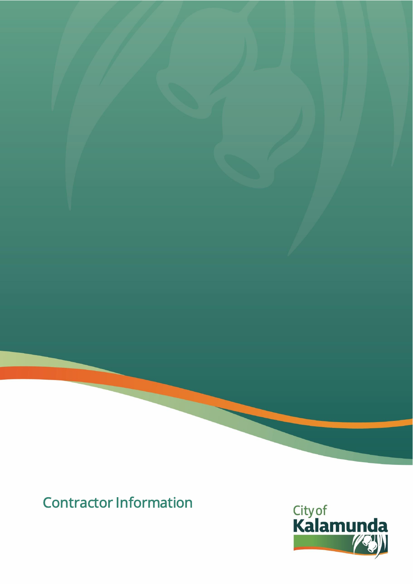# Contractor Information

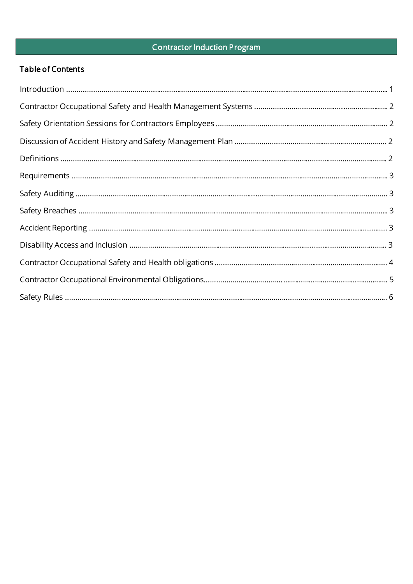# **Contractor Induction Program**

# Table of Contents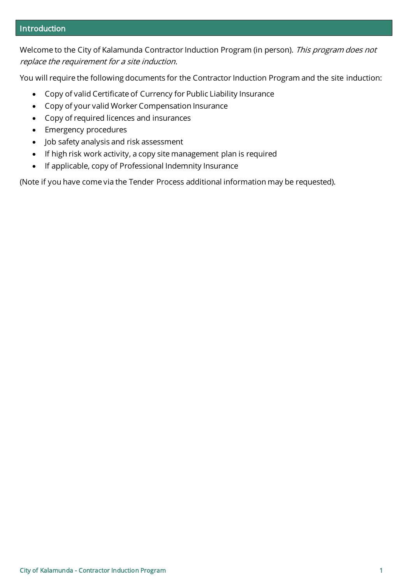#### Introduction

Welcome to the City of Kalamunda Contractor Induction Program (in person). This program does not replace the requirement for a site induction.

You will require the following documents for the Contractor Induction Program and the site induction:

- Copy of valid Certificate of Currency for Public Liability Insurance
- Copy of your valid Worker Compensation Insurance
- Copy of required licences and insurances
- Emergency procedures
- Job safety analysis and risk assessment
- If high risk work activity, a copy site management plan is required
- If applicable, copy of Professional Indemnity Insurance

(Note if you have come via the Tender Process additional information may be requested).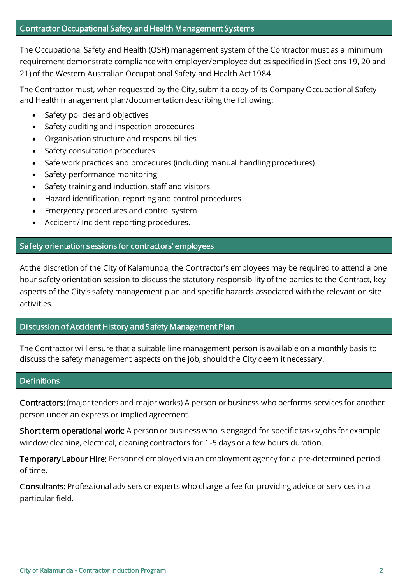The Occupational Safety and Health (OSH) management system of the Contractor must as a minimum requirement demonstrate compliance with employer/employee duties specified in (Sections 19, 20 and 21) of the Western Australian Occupational Safety and Health Act 1984.

The Contractor must, when requested by the City, submit a copy of its Company Occupational Safety and Health management plan/documentation describing the following:

- Safety policies and objectives
- Safety auditing and inspection procedures
- Organisation structure and responsibilities
- Safety consultation procedures
- Safe work practices and procedures (including manual handling procedures)
- Safety performance monitoring
- Safety training and induction, staff and visitors
- Hazard identification, reporting and control procedures
- Emergency procedures and control system
- Accident / Incident reporting procedures.

## Safety orientation sessions for contractors' employees

At the discretion of the City of Kalamunda, the Contractor's employees may be required to attend a one hour safety orientation session to discuss the statutory responsibility of the parties to the Contract, key aspects of the City's safety management plan and specific hazards associated with the relevant on site activities.

#### Discussion of Accident History and Safety Management Plan

The Contractor will ensure that a suitable line management person is available on a monthly basis to discuss the safety management aspects on the job, should the City deem it necessary.

#### **Definitions**

Contractors: (major tenders and major works) A person or business who performs services for another person under an express or implied agreement.

Short term operational work: A person or business who is engaged for specific tasks/jobs for example window cleaning, electrical, cleaning contractors for 1-5 days or a few hours duration.

Temporary Labour Hire: Personnel employed via an employment agency for a pre-determined period of time.

Consultants: Professional advisers or experts who charge a fee for providing advice or services in a particular field.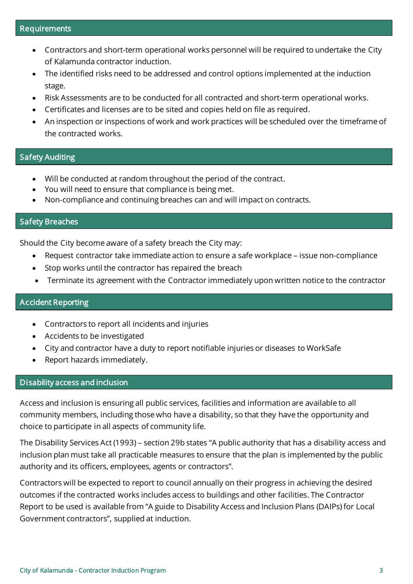- Contractors and short-term operational works personnel will be required to undertake the City of Kalamunda contractor induction.
- The identified risks need to be addressed and control options implemented at the induction stage.
- Risk Assessments are to be conducted for all contracted and short-term operational works.
- Certificates and licenses are to be sited and copies held on file as required.
- An inspection or inspections of work and work practices will be scheduled over the timeframe of the contracted works.

#### Safety Auditing

- Will be conducted at random throughout the period of the contract.
- You will need to ensure that compliance is being met.
- Non-compliance and continuing breaches can and will impact on contracts.

#### Safety Breaches

Should the City become aware of a safety breach the City may:

- Request contractor take immediate action to ensure a safe workplace issue non-compliance
- Stop works until the contractor has repaired the breach
- Terminate its agreement with the Contractor immediately upon written notice to the contractor

#### Accident Reporting

- Contractors to report all incidents and injuries
- Accidents to be investigated
- City and contractor have a duty to report notifiable injuries or diseases to WorkSafe
- Report hazards immediately.

#### Disability access and inclusion

Access and inclusion is ensuring all public services, facilities and information are available to all community members, including those who have a disability, so that they have the opportunity and choice to participate in all aspects of community life.

The Disability Services Act (1993) – section 29b states "A public authority that has a disability access and inclusion plan must take all practicable measures to ensure that the plan is implemented by the public authority and its officers, employees, agents or contractors".

Contractors will be expected to report to council annually on their progress in achieving the desired outcomes if the contracted works includes access to buildings and other facilities. The Contractor Report to be used is available from "A guide to Disability Access and Inclusion Plans (DAIPs) for Local Government contractors", supplied at induction.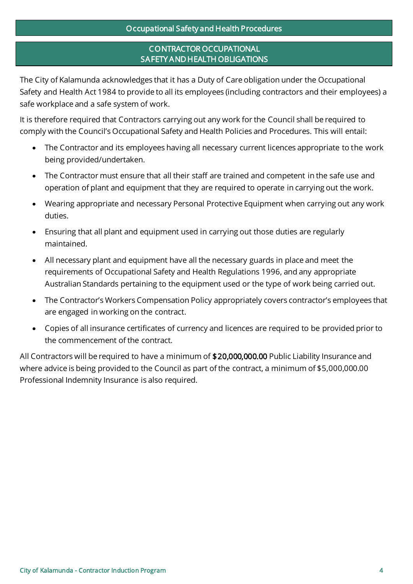# CONTRACTOR OCCUPATIONAL SAFETY AND HEALTH OBLIGATIONS

The City of Kalamunda acknowledges that it has a Duty of Care obligation under the Occupational Safety and Health Act 1984 to provide to all its employees (including contractors and their employees) a safe workplace and a safe system of work.

It is therefore required that Contractors carrying out any work for the Council shall be required to comply with the Council's Occupational Safety and Health Policies and Procedures. This will entail:

- The Contractor and its employees having all necessary current licences appropriate to the work being provided/undertaken.
- The Contractor must ensure that all their staff are trained and competent in the safe use and operation of plant and equipment that they are required to operate in carrying out the work.
- Wearing appropriate and necessary Personal Protective Equipment when carrying out any work duties.
- Ensuring that all plant and equipment used in carrying out those duties are regularly maintained.
- All necessary plant and equipment have all the necessary guards in place and meet the requirements of Occupational Safety and Health Regulations 1996, and any appropriate Australian Standards pertaining to the equipment used or the type of work being carried out.
- The Contractor's Workers Compensation Policy appropriately covers contractor's employees that are engaged in working on the contract.
- Copies of all insurance certificates of currency and licences are required to be provided prior to the commencement of the contract.

All Contractors will be required to have a minimum of \$20,000,000.00 Public Liability Insurance and where advice is being provided to the Council as part of the contract, a minimum of \$5,000,000.00 Professional Indemnity Insurance is also required.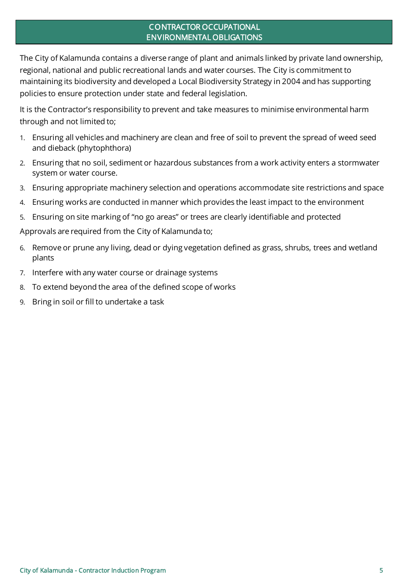## CONTRACTOR OCCUPATIONAL ENVIRONMENTAL OBLIGATIONS

The City of Kalamunda contains a diverse range of plant and animals linked by private land ownership, regional, national and public recreational lands and water courses. The City is commitment to maintaining its biodiversity and developed a Local Biodiversity Strategy in 2004 and has supporting policies to ensure protection under state and federal legislation.

It is the Contractor's responsibility to prevent and take measures to minimise environmental harm through and not limited to;

- 1. Ensuring all vehicles and machinery are clean and free of soil to prevent the spread of weed seed and dieback (phytophthora)
- 2. Ensuring that no soil, sediment or hazardous substances from a work activity enters a stormwater system or water course.
- 3. Ensuring appropriate machinery selection and operations accommodate site restrictions and space
- 4. Ensuring works are conducted in manner which provides the least impact to the environment
- 5. Ensuring on site marking of "no go areas" or trees are clearly identifiable and protected

Approvals are required from the City of Kalamunda to;

- 6. Remove or prune any living, dead or dying vegetation defined as grass, shrubs, trees and wetland plants
- 7. Interfere with any water course or drainage systems
- 8. To extend beyond the area of the defined scope of works
- 9. Bring in soil or fill to undertake a task